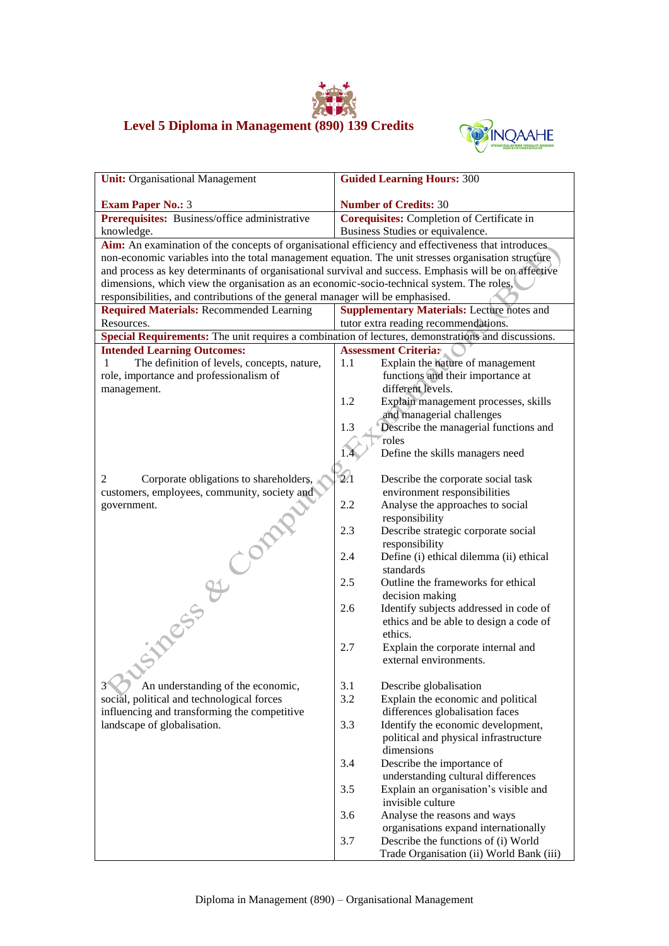## **Level 5 Diploma in Management (890) 139 Credits**



| <b>Unit:</b> Organisational Management                                                                | <b>Guided Learning Hours: 300</b>                                 |
|-------------------------------------------------------------------------------------------------------|-------------------------------------------------------------------|
| <b>Exam Paper No.: 3</b>                                                                              | <b>Number of Credits: 30</b>                                      |
| Prerequisites: Business/office administrative                                                         | <b>Corequisites:</b> Completion of Certificate in                 |
| knowledge.                                                                                            | Business Studies or equivalence.                                  |
| Aim: An examination of the concepts of organisational efficiency and effectiveness that introduces    |                                                                   |
| non-economic variables into the total management equation. The unit stresses organisation structure   |                                                                   |
| and process as key determinants of organisational survival and success. Emphasis will be on affective |                                                                   |
| dimensions, which view the organisation as an economic-socio-technical system. The roles,             |                                                                   |
| responsibilities, and contributions of the general manager will be emphasised.                        |                                                                   |
| <b>Required Materials: Recommended Learning</b>                                                       | <b>Supplementary Materials:</b> Lecture notes and                 |
| Resources.                                                                                            | tutor extra reading recommendations.                              |
| Special Requirements: The unit requires a combination of lectures, demonstrations and discussions.    |                                                                   |
| <b>Intended Learning Outcomes:</b>                                                                    | <b>Assessment Criteria:</b>                                       |
| The definition of levels, concepts, nature,<br>$\mathbf{1}$                                           | Explain the nature of management<br>1.1                           |
| role, importance and professionalism of                                                               | functions and their importance at                                 |
| management.                                                                                           | different levels.                                                 |
|                                                                                                       | 1.2<br>Explain management processes, skills                       |
|                                                                                                       | and managerial challenges                                         |
|                                                                                                       | Describe the managerial functions and<br>1.3                      |
|                                                                                                       | roles                                                             |
|                                                                                                       | Define the skills managers need                                   |
|                                                                                                       |                                                                   |
| 2<br>Corporate obligations to shareholders,                                                           | 2.1<br>Describe the corporate social task                         |
| customers, employees, community, society and                                                          | environment responsibilities                                      |
| government.                                                                                           | 2.2<br>Analyse the approaches to social                           |
|                                                                                                       | responsibility                                                    |
|                                                                                                       | 2.3<br>Describe strategic corporate social<br>responsibility      |
|                                                                                                       | Define (i) ethical dilemma (ii) ethical<br>2.4                    |
| <b>Finess &amp; Compt</b>                                                                             | standards                                                         |
|                                                                                                       | 2.5<br>Outline the frameworks for ethical                         |
|                                                                                                       | decision making                                                   |
|                                                                                                       | Identify subjects addressed in code of<br>2.6                     |
|                                                                                                       | ethics and be able to design a code of                            |
|                                                                                                       | ethics.                                                           |
|                                                                                                       | 2.7<br>Explain the corporate internal and                         |
|                                                                                                       | external environments.                                            |
|                                                                                                       |                                                                   |
| An understanding of the economic,                                                                     | 3.1<br>Describe globalisation                                     |
| social, political and technological forces                                                            | 3.2<br>Explain the economic and political                         |
| influencing and transforming the competitive                                                          | differences globalisation faces                                   |
| landscape of globalisation.                                                                           | Identify the economic development,<br>3.3                         |
|                                                                                                       | political and physical infrastructure                             |
|                                                                                                       | dimensions                                                        |
|                                                                                                       | 3.4<br>Describe the importance of                                 |
|                                                                                                       | understanding cultural differences                                |
|                                                                                                       | Explain an organisation's visible and<br>3.5<br>invisible culture |
|                                                                                                       | 3.6<br>Analyse the reasons and ways                               |
|                                                                                                       | organisations expand internationally                              |
|                                                                                                       | 3.7<br>Describe the functions of (i) World                        |
|                                                                                                       | Trade Organisation (ii) World Bank (iii)                          |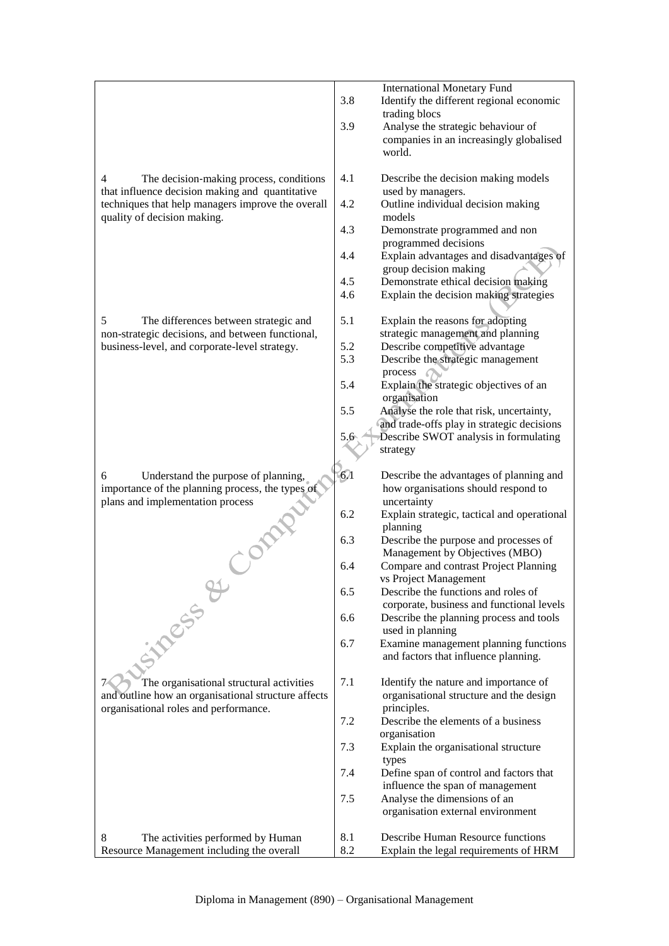|                                                            |            | <b>International Monetary Fund</b>                                            |
|------------------------------------------------------------|------------|-------------------------------------------------------------------------------|
|                                                            | 3.8        | Identify the different regional economic                                      |
|                                                            |            | trading blocs                                                                 |
|                                                            | 3.9        | Analyse the strategic behaviour of                                            |
|                                                            |            | companies in an increasingly globalised                                       |
|                                                            |            | world.                                                                        |
|                                                            |            |                                                                               |
| 4<br>The decision-making process, conditions               | 4.1        | Describe the decision making models                                           |
| that influence decision making and quantitative            |            | used by managers.                                                             |
| techniques that help managers improve the overall          | 4.2        | Outline individual decision making                                            |
| quality of decision making.                                |            | models                                                                        |
|                                                            | 4.3        | Demonstrate programmed and non                                                |
|                                                            |            | programmed decisions                                                          |
|                                                            | 4.4        | Explain advantages and disadvantages of                                       |
|                                                            |            | group decision making                                                         |
|                                                            | 4.5<br>4.6 | Demonstrate ethical decision making<br>Explain the decision making strategies |
|                                                            |            |                                                                               |
| 5<br>The differences between strategic and                 | 5.1        | Explain the reasons for adopting                                              |
| non-strategic decisions, and between functional,           |            | strategic management and planning                                             |
| business-level, and corporate-level strategy.              | 5.2        | Describe competitive advantage                                                |
|                                                            | 5.3        | Describe the strategic management                                             |
|                                                            |            | process                                                                       |
|                                                            | 5.4        | Explain the strategic objectives of an                                        |
|                                                            |            | organisation                                                                  |
|                                                            | 5.5        | Analyse the role that risk, uncertainty,                                      |
|                                                            |            | and trade-offs play in strategic decisions                                    |
|                                                            | 5.6        | Describe SWOT analysis in formulating                                         |
|                                                            |            | strategy                                                                      |
|                                                            |            |                                                                               |
|                                                            |            |                                                                               |
| Understand the purpose of planning,<br>6                   | $6\lambda$ | Describe the advantages of planning and                                       |
| importance of the planning process, the types of           |            | how organisations should respond to                                           |
| plans and implementation process                           |            | uncertainty                                                                   |
|                                                            | 6.2        | Explain strategic, tactical and operational                                   |
|                                                            |            | planning                                                                      |
|                                                            | 6.3        | Describe the purpose and processes of                                         |
|                                                            |            | Management by Objectives (MBO)                                                |
|                                                            | 6.4        | Compare and contrast Project Planning                                         |
|                                                            |            | vs Project Management                                                         |
|                                                            | 6.5        | Describe the functions and roles of                                           |
|                                                            |            | corporate, business and functional levels                                     |
|                                                            | 6.6        | Describe the planning process and tools                                       |
|                                                            | 6.7        | used in planning                                                              |
|                                                            |            | Examine management planning functions<br>and factors that influence planning. |
|                                                            |            |                                                                               |
| <b>Simessi</b><br>The organisational structural activities | 7.1        | Identify the nature and importance of                                         |
| and outline how an organisational structure affects        |            | organisational structure and the design                                       |
| organisational roles and performance.                      |            | principles.                                                                   |
|                                                            | 7.2        | Describe the elements of a business                                           |
|                                                            |            | organisation                                                                  |
|                                                            | 7.3        | Explain the organisational structure                                          |
|                                                            |            | types                                                                         |
|                                                            | 7.4        | Define span of control and factors that                                       |
|                                                            |            | influence the span of management                                              |
|                                                            | 7.5        | Analyse the dimensions of an                                                  |
|                                                            |            | organisation external environment                                             |
| 8<br>The activities performed by Human                     | 8.1        | Describe Human Resource functions                                             |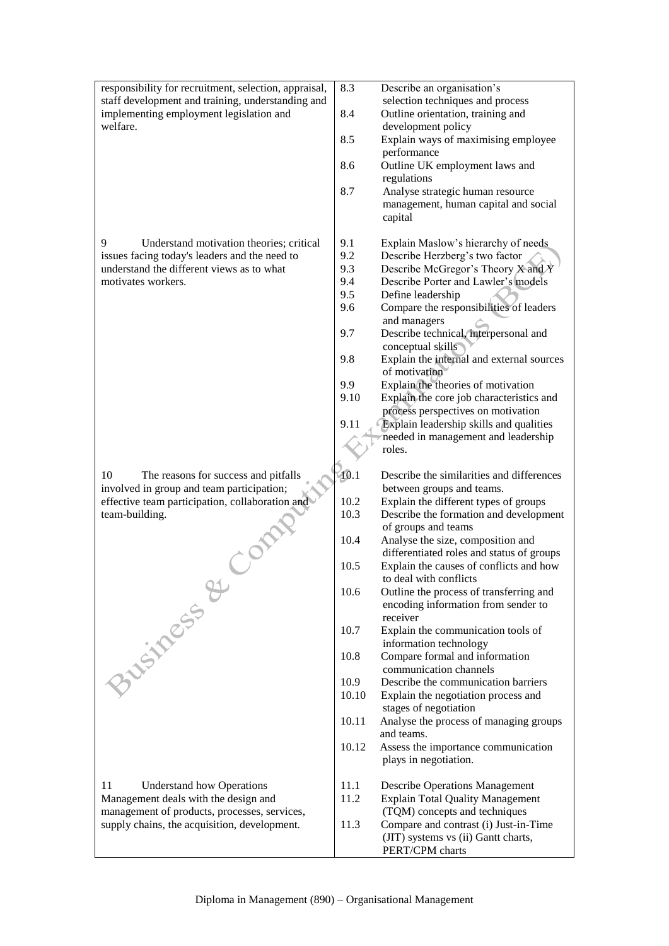| responsibility for recruitment, selection, appraisal,<br>staff development and training, understanding and<br>implementing employment legislation and<br>welfare.                                               | 8.3<br>8.4<br>8.5<br>8.6<br>8.7                                                         | Describe an organisation's<br>selection techniques and process<br>Outline orientation, training and<br>development policy<br>Explain ways of maximising employee<br>performance<br>Outline UK employment laws and<br>regulations<br>Analyse strategic human resource<br>management, human capital and social<br>capital                                                                                                                                                                                                                                                                                                                                                                                                                             |
|-----------------------------------------------------------------------------------------------------------------------------------------------------------------------------------------------------------------|-----------------------------------------------------------------------------------------|-----------------------------------------------------------------------------------------------------------------------------------------------------------------------------------------------------------------------------------------------------------------------------------------------------------------------------------------------------------------------------------------------------------------------------------------------------------------------------------------------------------------------------------------------------------------------------------------------------------------------------------------------------------------------------------------------------------------------------------------------------|
| 9<br>Understand motivation theories; critical<br>issues facing today's leaders and the need to<br>understand the different views as to what<br>motivates workers.<br>10<br>The reasons for success and pitfalls | 9.1<br>9.2<br>9.3<br>9.4<br>9.5<br>9.6<br>9.7<br>9.8<br>9.9<br>9.10<br>9.11<br>10.1     | Explain Maslow's hierarchy of needs<br>Describe Herzberg's two factor<br>Describe McGregor's Theory X and Y<br>Describe Porter and Lawler's models<br>Define leadership<br>Compare the responsibilities of leaders<br>and managers<br>Describe technical, interpersonal and<br>conceptual skills<br>Explain the internal and external sources<br>of motivation<br>Explain the theories of motivation<br>Explain the core job characteristics and<br>process perspectives on motivation<br>Explain leadership skills and qualities<br>needed in management and leadership<br>roles.<br>Describe the similarities and differences                                                                                                                     |
| involved in group and team participation;<br>effective team participation, collaboration and<br>team-building.<br>Business &                                                                                    | 10.2<br>10.3<br>10.4<br>10.5<br>10.6<br>10.7<br>10.8<br>10.9<br>10.10<br>10.11<br>10.12 | between groups and teams.<br>Explain the different types of groups<br>Describe the formation and development<br>of groups and teams<br>Analyse the size, composition and<br>differentiated roles and status of groups<br>Explain the causes of conflicts and how<br>to deal with conflicts<br>Outline the process of transferring and<br>encoding information from sender to<br>receiver<br>Explain the communication tools of<br>information technology<br>Compare formal and information<br>communication channels<br>Describe the communication barriers<br>Explain the negotiation process and<br>stages of negotiation<br>Analyse the process of managing groups<br>and teams.<br>Assess the importance communication<br>plays in negotiation. |
| 11<br><b>Understand how Operations</b><br>Management deals with the design and<br>management of products, processes, services,<br>supply chains, the acquisition, development.                                  | 11.1<br>11.2<br>11.3                                                                    | <b>Describe Operations Management</b><br><b>Explain Total Quality Management</b><br>(TQM) concepts and techniques<br>Compare and contrast (i) Just-in-Time<br>(JIT) systems vs (ii) Gantt charts,<br>PERT/CPM charts                                                                                                                                                                                                                                                                                                                                                                                                                                                                                                                                |